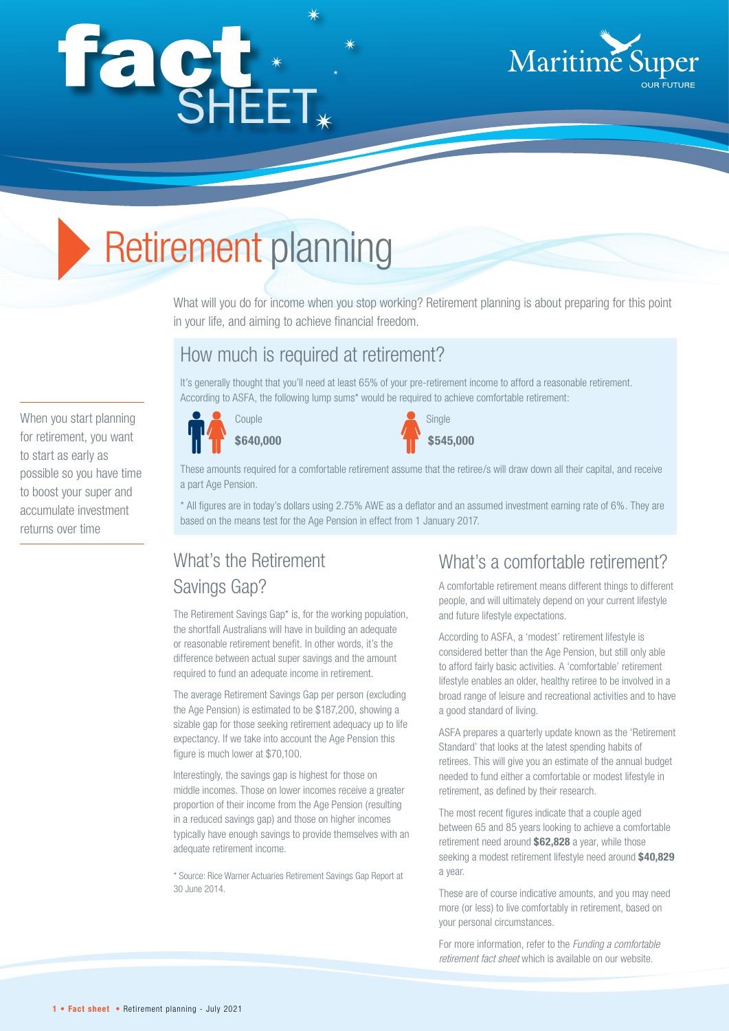# façt\*



# Retirement planning

What will you do for income when you stop working? Retirement planning is about preparing for this point in your life, and aiming to achieve financial freedom.

## How much is required at retirement?

It's generally thought that you'll need at least 65% of your pre-retirement income to afford a reasonable retirement. According to ASFA, the following lump sums\* would be required to achieve comfortable retirement:

When you start planning for retirement, you want to start as early as possible so you have time to boost your super and accumulate investment returns over time





These amounts required for a comfortable retirement assume that the retiree/s will draw down all their capital, and receive a part Age Pension.

\* All figures are in today's dollars using 2.75% AWE as a deflator and an assumed investment earning rate of 6%. They are based on the means test for the Age Pension in effect from 1 January 2017.

# What's the Retirement Savings Gap?

The Retirement Savings Gap\* is, for the working population, the shortfall Australians will have in building an adequate or reasonable retirement benefit. In other words, it's the difference between actual super savings and the amount required to fund an adequate income in retirement.

The average Retirement Savings Gap per person (excluding the Age Pension) is estimated to be \$187,200, showing a sizable gap for those seeking retirement adequacy up to life expectancy. If we take into account the Age Pension this figure is much lower at \$70,100.

Interestingly, the savings gap is highest for those on middle incomes. Those on lower incomes receive a greater proportion of their income from the Age Pension (resulting in a reduced savings gap) and those on higher incomes typically have enough savings to provide themselves with an adequate retirement income.

\* Source: Rice Warner Actuaries Retirement Savings Gap Report at 30 June 2014.

## What's a comfortable retirement?

A comfortable retirement means different things to different people, and will ultimately depend on your current lifestyle and future lifestyle expectations.

According to ASFA, a 'modest' retirement lifestyle is considered better than the Age Pension, but still only able to afford fairly basic activities. A 'comfortable' retirement lifestyle enables an older, healthy retiree to be involved in a broad range of leisure and recreational activities and to have a good standard of living.

ASFA prepares a quarterly update known as the 'Retirement Standard' that looks at the latest spending habits of retirees. This will give you an estimate of the annual budget needed to fund either a comfortable or modest lifestyle in retirement, as defined by their research.

The most recent figures indicate that a couple aged between 65 and 85 years looking to achieve a comfortable retirement need around **\$62,828** a year, while those seeking a modest retirement lifestyle need around **\$40,829**  a year.

These are of course indicative amounts, and you may need more (or less) to live comfortably in retirement, based on your personal circumstances.

For more information, refer to the *Funding a comfortable retirement fact sheet* which is available on our website.